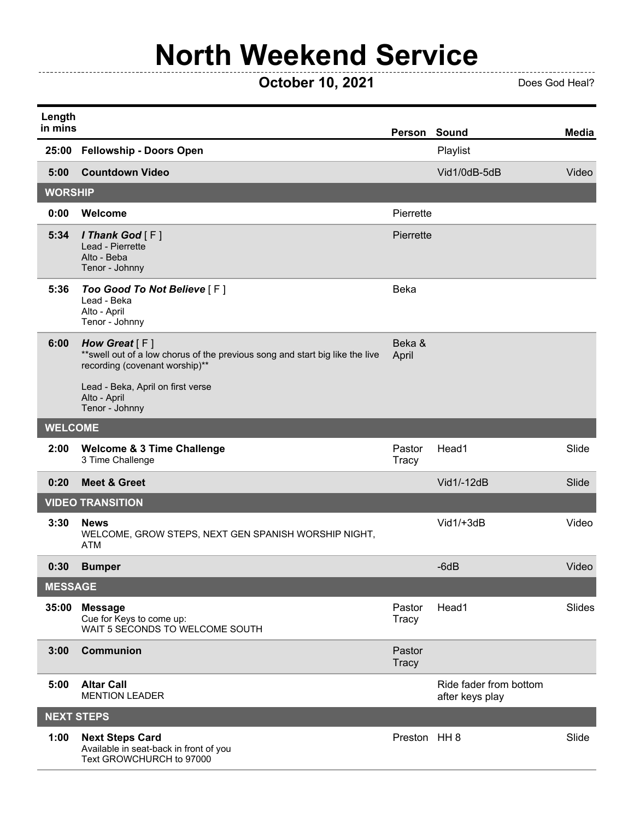## **North Weekend Service**

## **COLODER 10, 2021** Does God Heal?

 $\overline{a}$ 

| Length<br>in mins |                                                                                                                                    | Person Sound           |                                           | <b>Media</b>  |
|-------------------|------------------------------------------------------------------------------------------------------------------------------------|------------------------|-------------------------------------------|---------------|
| 25:00             | <b>Fellowship - Doors Open</b>                                                                                                     |                        | Playlist                                  |               |
| 5:00              | <b>Countdown Video</b>                                                                                                             |                        | Vid1/0dB-5dB                              | Video         |
| <b>WORSHIP</b>    |                                                                                                                                    |                        |                                           |               |
| 0:00              | Welcome                                                                                                                            | Pierrette              |                                           |               |
| 5:34              | <i>I</i> Thank God $[F]$<br>Lead - Pierrette<br>Alto - Beba<br>Tenor - Johnny                                                      | Pierrette              |                                           |               |
| 5:36              | Too Good To Not Believe [F]<br>Lead - Beka<br>Alto - April<br>Tenor - Johnny                                                       | Beka                   |                                           |               |
| 6:00              | How Great $[F]$<br>** swell out of a low chorus of the previous song and start big like the live<br>recording (covenant worship)** | Beka &<br>April        |                                           |               |
|                   | Lead - Beka, April on first verse<br>Alto - April<br>Tenor - Johnny                                                                |                        |                                           |               |
| <b>WELCOME</b>    |                                                                                                                                    |                        |                                           |               |
| 2:00              | <b>Welcome &amp; 3 Time Challenge</b><br>3 Time Challenge                                                                          | Pastor<br>Tracy        | Head1                                     | Slide         |
| 0:20              | <b>Meet &amp; Greet</b>                                                                                                            |                        | Vid1/-12dB                                | Slide         |
|                   | <b>VIDEO TRANSITION</b>                                                                                                            |                        |                                           |               |
| 3:30              | <b>News</b><br>WELCOME, GROW STEPS, NEXT GEN SPANISH WORSHIP NIGHT,<br><b>ATM</b>                                                  |                        | Vid1/+3dB                                 | Video         |
| 0:30              | <b>Bumper</b>                                                                                                                      |                        | $-6dB$                                    | Video         |
| <b>MESSAGE</b>    |                                                                                                                                    |                        |                                           |               |
| 35:00             | <b>Message</b><br>Cue for Keys to come up:<br>WAIT 5 SECONDS TO WELCOME SOUTH                                                      | Pastor<br>Tracy        | Head1                                     | <b>Slides</b> |
| 3:00              | <b>Communion</b>                                                                                                                   | Pastor<br><b>Tracy</b> |                                           |               |
| 5:00              | <b>Altar Call</b><br><b>MENTION LEADER</b>                                                                                         |                        | Ride fader from bottom<br>after keys play |               |
| <b>NEXT STEPS</b> |                                                                                                                                    |                        |                                           |               |
| 1:00              | <b>Next Steps Card</b><br>Available in seat-back in front of you<br>Text GROWCHURCH to 97000                                       | Preston HH 8           |                                           | Slide         |